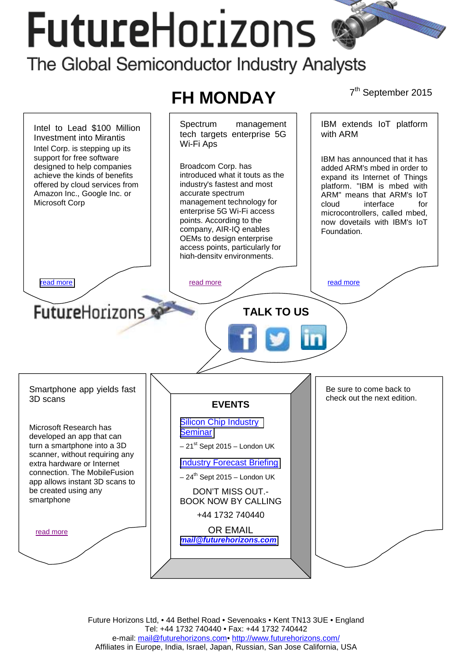# **FutureHorizons**

## The Global Semiconductor Industry Analysts



Future Horizons Ltd, • 44 Bethel Road • Sevenoaks • Kent TN13 3UE • England Tel: +44 1732 740440 • Fax: +44 1732 740442 e-mail: mail@futurehorizons.com• http://www.futurehorizons.com/ Affiliates in Europe, India, Israel, Japan, Russian, San Jose California, USA